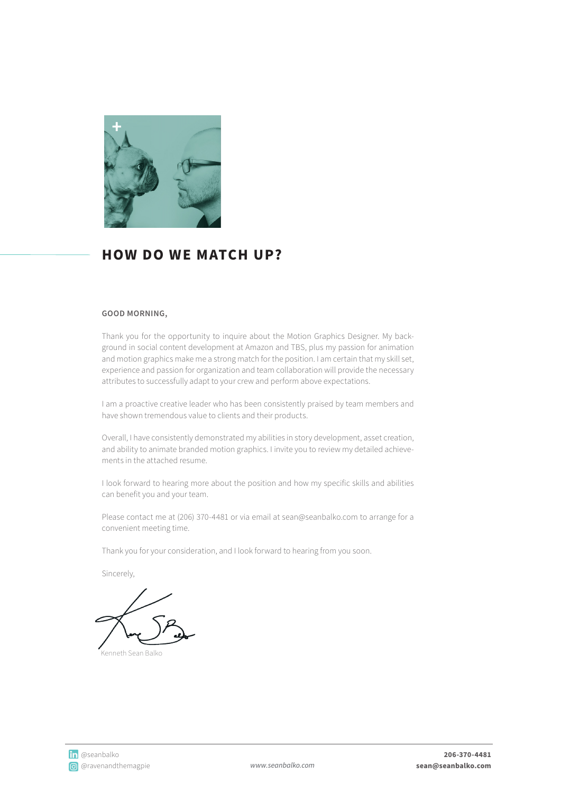

### **HOW DO WE MATCH UP?**

### **GOOD MORNING,**

Thank you for the opportunity to inquire about the Motion Graphics Designer. My background in social content development at Amazon and TBS, plus my passion for animation and motion graphics make me a strong match for the position. I am certain that my skill set, experience and passion for organization and team collaboration will provide the necessary attributes to successfully adapt to your crew and perform above expectations.

I am a proactive creative leader who has been consistently praised by team members and have shown tremendous value to clients and their products.

Overall, I have consistently demonstrated my abilities in story development, asset creation, and ability to animate branded motion graphics. I invite you to review my detailed achievements in the attached resume.

I look forward to hearing more about the position and how my specific skills and abilities can benefit you and your team.

Please contact me at (206) 370-4481 or via email at sean@seanbalko.com to arrange for a convenient meeting time.

Thank you for your consideration, and I look forward to hearing from you soon.

Sincerely,

Kenneth Sean Balko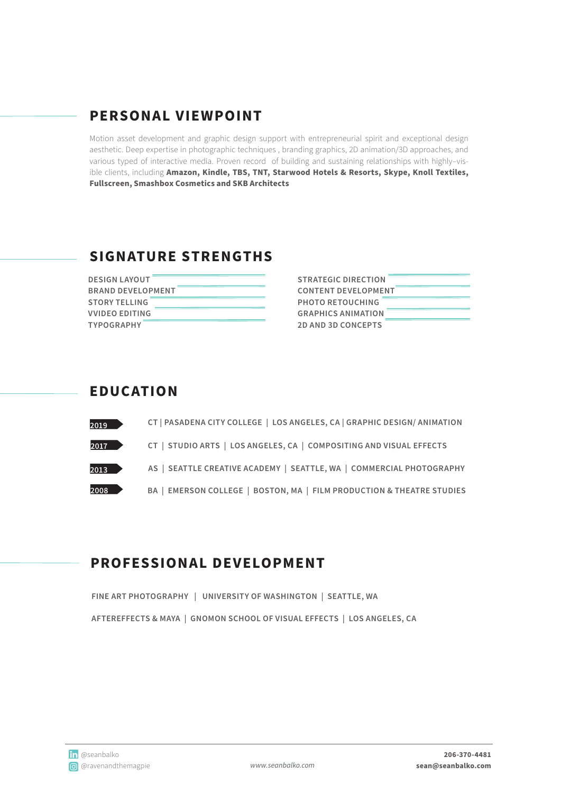## **PERSONAL VIEWPOINT**

Motion asset development and graphic design support with entrepreneurial spirit and exceptional design aesthetic. Deep expertise in photographic techniques , branding graphics, 2D animation/3D approaches, and various typed of interactive media. Proven record of building and sustaining relationships with highly–visible clients, including **Amazon, Kindle, TBS, TNT, Starwood Hotels & Resorts, Skype, Knoll Textiles, Fullscreen, Smashbox Cosmetics and SKB Architects**

### **SIGNATURE STRENGTHS**

| <b>DESIGN LAYOUT</b>     |  |
|--------------------------|--|
| <b>BRAND DEVELOPMENT</b> |  |
| <b>STORY TELLING</b>     |  |
| <b>VVIDEO EDITING</b>    |  |
| <b>TYPOGRAPHY</b>        |  |

| <b>STRATEGIC DIRECTION</b> |  |
|----------------------------|--|
| <b>CONTENT DEVELOPMENT</b> |  |
| <b>PHOTO RETOUCHING</b>    |  |
| <b>GRAPHICS ANIMATION</b>  |  |
| <b>2D AND 3D CONCEPTS</b>  |  |

### **EDUC ATION**

| 2019                 | CT   PASADENA CITY COLLEGE   LOS ANGELES, CA   GRAPHIC DESIGN/ ANIMATION |
|----------------------|--------------------------------------------------------------------------|
| $2017$ $\rightarrow$ | CT   STUDIO ARTS   LOS ANGELES, CA   COMPOSITING AND VISUAL EFFECTS      |
| 2013                 | AS   SEATTLE CREATIVE ACADEMY   SEATTLE, WA   COMMERCIAL PHOTOGRAPHY     |
| 2008                 | BA   EMERSON COLLEGE   BOSTON, MA   FILM PRODUCTION & THEATRE STUDIES    |

### **PROFESSIONAL DEVELOPMENT**

**FINE ART PHOTOGRAPHY | UNIVERSITY OF WASHINGTON | SEATTLE, WA AFTEREFFECTS & MAYA | GNOMON SCHOOL OF VISUAL EFFECTS | LOS ANGELES, CA**

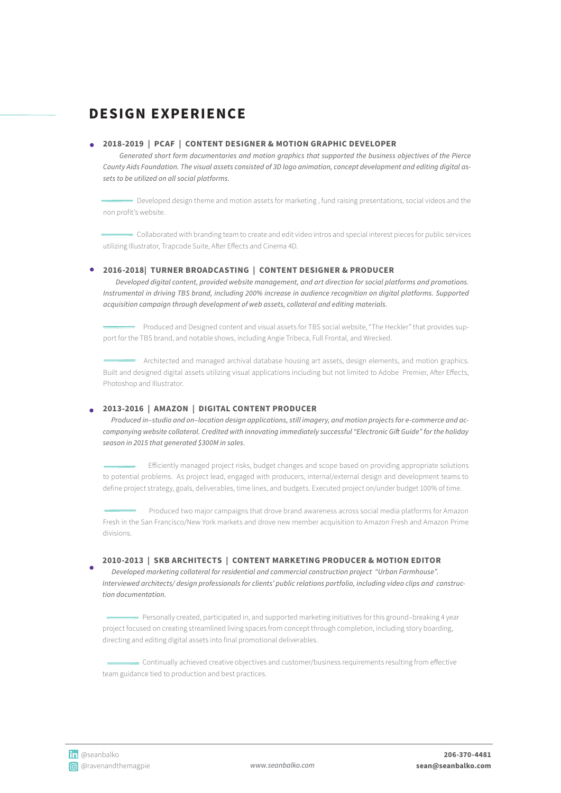## **DESIGN EXPERIENCE**

#### **2018-2019 | PCAF | CONTENT DESIGNER & MOTION GRAPHIC DEVELOPER**

 *Generated short form documentaries and motion graphics that supported the business objectives of the Pierce County Aids Foundation. The visual assets consisted of 3D logo animation, concept development and editing digital assets to be utilized on all social platforms.*

Developed design theme and motion assets for marketing , fund raising presentations, social videos and the non profit's website.

Collaborated with branding team to create and edit video intros and special interest pieces for public services utilizing Illustrator, Trapcode Suite, After Effects and Cinema 4D.

#### **2016-2018| TURNER BROADCASTING | CONTENT DESIGNER & PRODUCER**

 *Developed digital content, provided website management, and art direction for social platforms and promotions. Instrumental in driving TBS brand, including 200% increase in audience recognition on digital platforms. Supported acquisition campaign through development of web assets, collateral and editing materials.*

 Produced and Designed content and visual assets for TBS social website, "The Heckler" that provides support for the TBS brand, and notable shows, including Angie Tribeca, Full Frontal, and Wrecked.

- Architected and managed archival database housing art assets, design elements, and motion graphics. Built and designed digital assets utilizing visual applications including but not limited to Adobe Premier, After Effects, Photoshop and Illustrator.

#### **2013-2016 | AMAZON | DIGITAL CONTENT PRODUCER**

 *Produced in–studio and on–location design applications, still imagery, and motion projects for e-commerce and accompanying website collateral. Credited with innovating immediately successful "Electronic Gift Guide" for the holiday season in 2015 that generated \$300M in sales.*

 Efficiently managed project risks, budget changes and scope based on providing appropriate solutions to potential problems. As project lead, engaged with producers, internal/external design and development teams to define project strategy, goals, deliverables, time lines, and budgets. Executed project on/under budget 100% of time.

 Produced two major campaigns that drove brand awareness across social media platforms for Amazon Fresh in the San Francisco/New York markets and drove new member acquisition to Amazon Fresh and Amazon Prime divisions.

#### **2010-2013 | SKB ARCHITECTS | CONTENT MARKETING PRODUCER & MOTION EDITOR**

 *Developed marketing collateral for residential and commercial construction project "Urban Farmhouse". Interviewed architects/ design professionals for clients' public relations portfolio, including video clips and construction documentation.*

 Personally created, participated in, and supported marketing initiatives for this ground–breaking 4 year project focused on creating streamlined living spaces from concept through completion, including story boarding, directing and editing digital assets into final promotional deliverables.

 Continually achieved creative objectives and customer/business requirements resulting from effective team guidance tied to production and best practices.